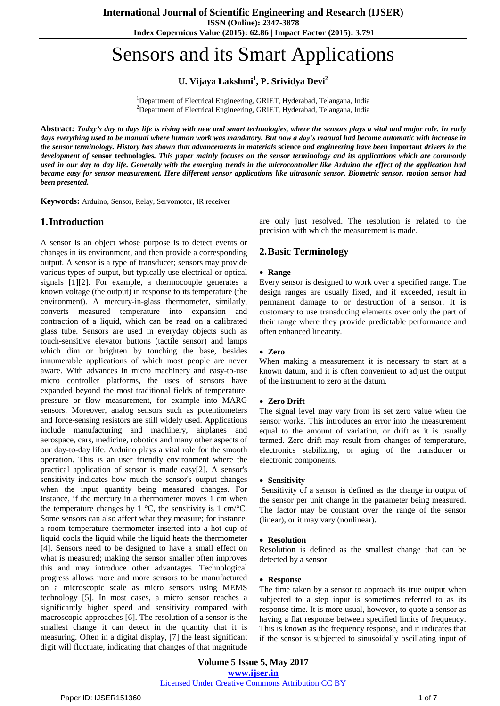**Index Copernicus Value (2015): 62.86 | Impact Factor (2015): 3.791**

# Sensors and its Smart Applications

**U. Vijaya Lakshmi<sup>1</sup> , P. Srividya Devi<sup>2</sup>**

<sup>1</sup>Department of Electrical Engineering, GRIET, Hyderabad, Telangana, India <sup>2</sup>Department of Electrical Engineering, GRIET, Hyderabad, Telangana, India

Abstract: Today's day to days life is rising with new and smart technologies, where the sensors plays a vital and major role. In early days everything used to be manual where human work was mandatory. But now a day's manual had become automatic with increase in the sensor terminology. History has shown that advancements in materials science and engineering have been important drivers in the development of sensor technologies. This paper mainly focuses on the sensor terminology and its applications which are commonly used in our day to day life. Generally with the emerging trends in the microcontroller like Arduino the effect of the application had became easy for sensor measurement. Here different sensor applications like ultrasonic sensor, Biometric sensor, motion sensor had *been presented.*

**Keywords:** Arduino, Sensor, Relay, Servomotor, IR receiver

# **1.Introduction**

A sensor is an object whose purpose is to detect events or changes in its environment, and then provide a corresponding output. A sensor is a type of [transducer;](https://en.wikipedia.org/wiki/Transducer) sensors may provide various types of output, but typically use electrical or optical signals [1][2]. For example, a [thermocouple](https://en.wikipedia.org/wiki/Thermocouple) generates a known voltage (the output) in response to its temperature (the environment). A [mercury-in-glass](https://en.wikipedia.org/wiki/Mercury-in-glass_thermometer) thermometer, similarly, converts measured temperature into expansion and contraction of a liquid, which can be read on a calibrated glass tube. Sensors are used in everyday objects such as touch-sensitive elevator buttons (tactile [sensor\)](https://en.wikipedia.org/wiki/Tactile_sensor) and lamps which dim or brighten by touching the base, besides innumerable applications of which most people are never aware. With advances in micro [machinery](https://en.wikipedia.org/wiki/Micromachinery) and easy-to-use micro [controller](https://en.wikipedia.org/wiki/Micro_controller) platforms, the uses of sensors have expanded beyond the most traditional fields of temperature, pressure or flow measurement, for example into [MARG](https://en.wikipedia.org/wiki/Attitude_and_heading_reference_system) [sensors.](https://en.wikipedia.org/wiki/Attitude_and_heading_reference_system) Moreover, analog sensors such as potentiometers and [force-sensing](https://en.wikipedia.org/wiki/Force-sensing_resistor) resistors are still widely used. Applications include manufacturing and machinery, airplanes and aerospace, cars, medicine, robotics and many other aspects of our day-to-day life. Arduino plays a vital role for the smooth operation. This is an user friendly environment where the practical application of sensor is made easy[2]. A sensor's sensitivity indicates how much the sensor's output changes when the input quantity being measured changes. For instance, if the mercury in a thermometer moves 1 cm when the temperature changes by 1  $\degree$ C, the sensitivity is 1 cm/ $\degree$ C. Some sensors can also affect what they measure; for instance, a room temperature thermometer inserted into a hot cup of liquid cools the liquid while the liquid heats the thermometer [4]. Sensors need to be designed to have a small effect on what is measured; making the sensor smaller often improves this and may introduce other advantages. Technological progress allows more and more sensors to be manufactured on a [microscopic](https://en.wikipedia.org/wiki/Microscopic_scale) scale as micro sensors using [MEMS](https://en.wikipedia.org/wiki/Microelectromechanical_systems) technology [5]. In most cases, a micro sensor reaches a significantly higher speed and sensitivity compared with macroscopic approaches [6]. The resolution of a sensor is the smallest change it can detect in the quantity that it is measuring. Often in a digital [display,](https://en.wikipedia.org/wiki/Digital_display) [7] the least significant digit will fluctuate, indicating that changes of that magnitude

are only just resolved. The resolution is related to the [precision](https://en.wikipedia.org/wiki/Accuracy_and_precision) with which the measurement is made.

# **2.Basic Terminology**

#### **Range**

Every sensor is designed to work over a specified range. The design ranges are usually fixed, and if exceeded, result in permanent damage to or destruction of a sensor. It is customary to use transducing elements over only the part of their range where they provide predictable performance and often enhanced linearity.

## **Zero**

When making a measurement it is necessary to start at a known datum, and it is often convenient to adjust the output of the instrument to zero at the datum.

#### **Zero Drift**

The signal level may vary from its set zero value when the sensor works. This introduces an error into the measurement equal to the amount of variation, or drift as it is usually termed. Zero drift may result from changes of temperature, electronics stabilizing, or aging of the transducer or electronic components.

#### **Sensitivity**

Sensitivity of a sensor is defined as the change in output of the sensor per unit change in the parameter being measured. The factor may be constant over the range of the sensor (linear), or it may vary (nonlinear).

#### **Resolution**

Resolution is defined as the smallest change that can be detected by a sensor.

#### **Response**

The time taken by a sensor to approach its true output when subjected to a step input is sometimes referred to as its response time. It is more usual, however, to quote a sensor as having a flat response between specified limits of frequency. This is known as the frequency response, and it indicates that if the sensor is subjected to sinusoidally oscillating input of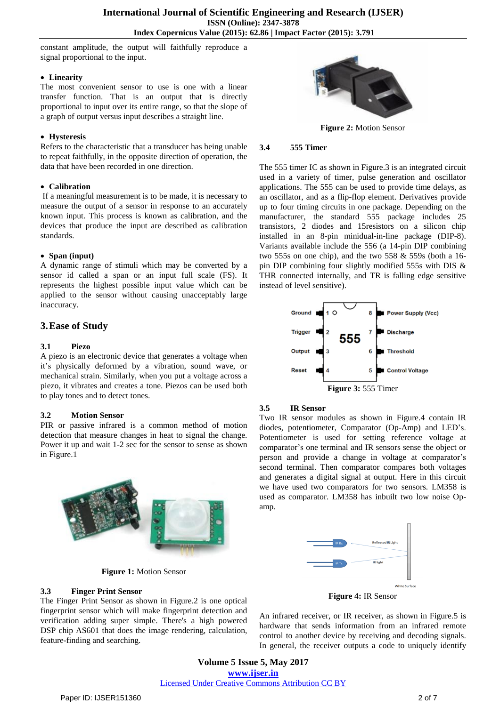constant amplitude, the output will faithfully reproduce a signal proportional to the input.

#### **Linearity**

The most convenient sensor to use is one with a linear transfer function. That is an output that is directly proportional to input over its entire range, so that the slope of a graph of output versus input describes a straight line.

#### **Hysteresis**

Refers to the characteristic that a transducer has being unable to repeat faithfully, in the opposite direction of operation, the data that have been recorded in one direction.

## **Calibration**

If a meaningful measurement is to be made, it is necessary to measure the output of a sensor in response to an accurately known input. This process is known as calibration, and the devices that produce the input are described as calibration standards.

## **Span (input)**

A dynamic range of stimuli which may be converted by a sensor id called a span or an input full scale (FS). It represents the highest possible input value which can be applied to the sensor without causing unacceptably large inaccuracy.

## **3.Ease of Study**

## **3.1 Piezo**

A piezo is an electronic device that generates a voltage when it's physically deformed by a vibration, sound wave, or mechanical strain. Similarly, when you put a voltage across a piezo, it vibrates and creates a tone. Piezos can be used both to play tones and to detect tones.

## **3.2 Motion Sensor**

PIR or passive infrared is a common method of motion detection that measure changes in heat to signal the change. Power it up and wait 1-2 sec for the sensor to sense as shown in Figure.1



**Figure 1:** Motion Sensor

## **3.3 Finger Print Sensor**

The Finger Print Sensor as shown in Figure.2 is one optical fingerprint sensor which will make fingerprint detection and verification adding super simple. There's a high powered DSP chip AS601 that does the image rendering, calculation, feature-finding and searching.



**Figure 2:** Motion Sensor

#### **3.4 555 Timer**

The 555 timer IC as shown in Figure.3 is an [integrated](https://en.wikipedia.org/wiki/Integrated_circuit) circuit used in a variety of timer, pulse generation and [oscillator](https://en.wikipedia.org/wiki/Electronic_oscillator) applications. The 555 can be used to provide time delays, as an [oscillator,](https://en.wikipedia.org/wiki/Oscillator) and as a flip-flop [element.](https://en.wikipedia.org/wiki/Flip-flop_element) Derivatives provide up to four timing circuits in one package. Depending on the manufacturer, the standard 555 package includes 25 [transistors,](https://en.wikipedia.org/wiki/Transistor) 2 [diodes](https://en.wikipedia.org/wiki/Diode) and 1[5resistors](https://en.wikipedia.org/wiki/Resistor) on a [silicon](https://en.wikipedia.org/wiki/Silicon) chip installed in an 8-pin minidual-in-line package [\(DIP-8\)](https://en.wikipedia.org/wiki/DIP-8). Variants available include the 556 (a 14-pin DIP combining two 555s on one chip), and the two 558  $&$  559s (both a 16pin DIP combining four slightly modified 555s with DIS & THR connected internally, and TR is falling edge sensitive instead of level sensitive).



# **3.5 IR Sensor**

Two IR sensor modules as shown in Figure.4 contain IR diodes, potentiometer, Comparator (Op-Amp) and LED's. Potentiometer is used for setting reference voltage at comparator's one terminal and IR sensors sense the object or person and provide a change in voltage at comparator's second terminal. Then comparator compares both voltages and generates a digital signal at output. Here in this circuit we have used two comparators for two sensors. LM358 is used as comparator. LM358 has inbuilt two low noise Opamp.



**Figure 4:** IR Sensor

An infrared receiver, or IR receiver, as shown in Figure.5 is hardware that sends information from an infrared remote control to another device by receiving and decoding signals. In general, the receiver outputs a code to uniquely identify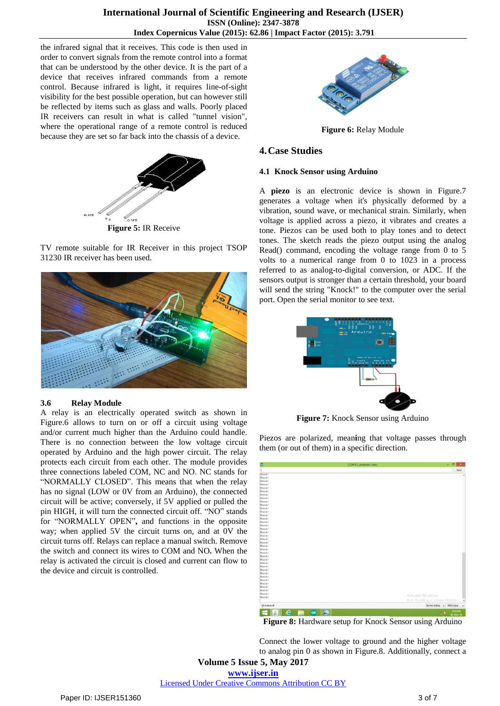the infrared signal that it receives. This code is then used in order to convert signals from the remote control into a format that can be understood by the other device. It is the part of a device that receives infrared commands from a remote control. Because infrared is light, it requires line-of-sight visibility for the best possible operation, but can however still be reflected by items such as glass and walls. Poorly placed IR receivers can result in what is called "tunnel vision", where the operational range of a remote control is reduced because they are set so far back into the chassis of a device.



**Figure 5:** IR Receive

TV remote suitable for IR Receiver in this project TSOP 31230 IR receiver has been used.



# **3.6 Relay Module**

A relay is an electrically operated switch as shown in Figure.6 allows to turn on or off a circuit using voltage and/or current much higher than the Arduino could handle. There is no connection between the low voltage circuit operated by Arduino and the high power circuit. The relay protects each circuit from each other. The module provides three connections labeled COM, NC and NO. NC stands for "NORMALLY CLOSED". This means that when the relay has no signal (LOW or 0V from an Arduino), the connected circuit will be active; conversely, if 5V applied or pulled the pin HIGH, it will turn the connected circuit off. "NO" stands for "NORMALLY OPEN"**,** and functions in the opposite way; when applied 5V the circuit turns on, and at 0V the circuit turns off. Relays can replace a manual switch. Remove the switch and connect its wires to COM and NO**.** When the relay is activated the circuit is closed and current can flow to the device and circuit is controlled.



**Figure 6:** Relay Module

# **4.Case Studies**

## **4.1 Knock Sensor using Arduino**

A **piezo** is an electronic device is shown in Figure.7 generates a voltage when it's physically deformed by a vibration, sound wave, or mechanical strain. Similarly, when voltage is applied across a piezo, it vibrates and creates a tone. Piezos can be used both to play tones and to detect tones. The sketch reads the piezo output using the analog Read() command, encoding the voltage range from 0 to 5 volts to a numerical range from 0 to 1023 in a process referred to as analog-to-digital conversion, or ADC. If the sensors output is stronger than a certain threshold, your board will send the string "Knock!" to the computer over the serial port. Open the serial monitor to see text.



**Figure 7:** Knock Sensor using Arduino

Piezos are polarized, mean**i**ng that voltage passes through them (or out of them) in a specific direction.



**Figure 8:** Hardware setup for Knock Sensor using Arduino

Connect the lower voltage to ground and the higher voltage to analog pin 0 as shown in Figure.8. Additionally, connect a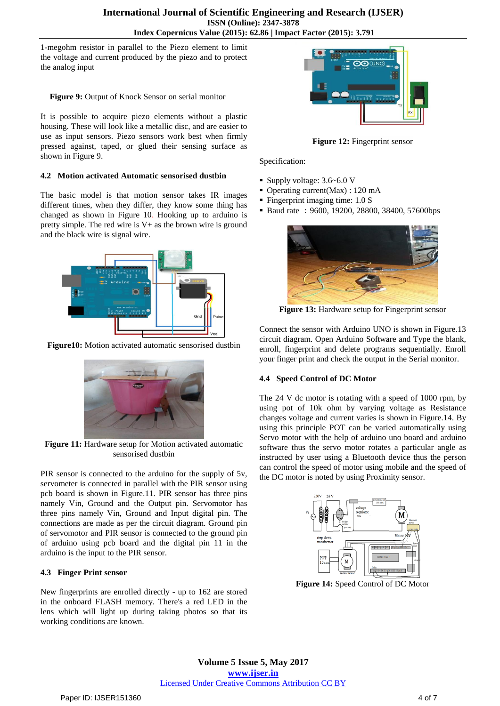1-megohm resistor in parallel to the Piezo element to limit the voltage and current produced by the piezo and to protect the analog input

**Figure 9:** Output of Knock Sensor on serial monitor

It is possible to acquire piezo elements without a plastic housing. These will look like a metallic disc, and are easier to use as input sensors. Piezo sensors work best when firmly pressed against, taped, or glued their sensing surface as shown in Figure 9.

## **4.2 Motion activated Automatic sensorised dustbin**

The basic model is that motion sensor takes IR images different times, when they differ, they know some thing has changed as shown in Figure 10. Hooking up to arduino is pretty simple. The red wire is V+ as the brown wire is ground and the black wire is signal wire.



**Figure10:** Motion activated automatic sensorised dustbin



**Figure 11:** Hardware setup for Motion activated automatic sensorised dustbin

PIR sensor is connected to the arduino for the supply of 5v, servometer is connected in parallel with the PIR sensor using pcb board is shown in Figure.11. PIR sensor has three pins namely Vin, Ground and the Output pin. Servomotor has three pins namely Vin, Ground and Input digital pin. The connections are made as per the circuit diagram. Ground pin of servomotor and PIR sensor is connected to the ground pin of arduino using pcb board and the digital pin 11 in the arduino is the input to the PIR sensor.

# **4.3 Finger Print sensor**

New fingerprints are enrolled directly - up to 162 are stored in the onboard FLASH memory. There's a red LED in the lens which will light up during taking photos so that its working conditions are known.



**Figure 12:** Fingerprint sensor

Specification:

- Supply voltage:  $3.6~6.0$  V
- Operating current(Max) : 120 mA
- Fingerprint imaging time: 1.0 S
- Baud rate: 9600, 19200, 28800, 38400, 57600bps



**Figure 13:** Hardware setup for Fingerprint sensor

Connect the sensor with Arduino UNO is shown in Figure.13 circuit diagram. Open Arduino Software and Type the blank, enroll, fingerprint and delete programs sequentially. Enroll your finger print and check the output in the Serial monitor.

# **4.4 Speed Control of DC Motor**

The 24 V dc motor is rotating with a speed of 1000 rpm, by using pot of 10k ohm by varying voltage as Resistance changes voltage and current varies is shown in Figure.14. By using this principle POT can be varied automatically using Servo motor with the help of arduino uno board and arduino software thus the servo motor rotates a particular angle as instructed by user using a Bluetooth device thus the person can control the speed of motor using mobile and the speed of the DC motor is noted by using Proximity sensor.



**Figure 14:** Speed Control of DC Motor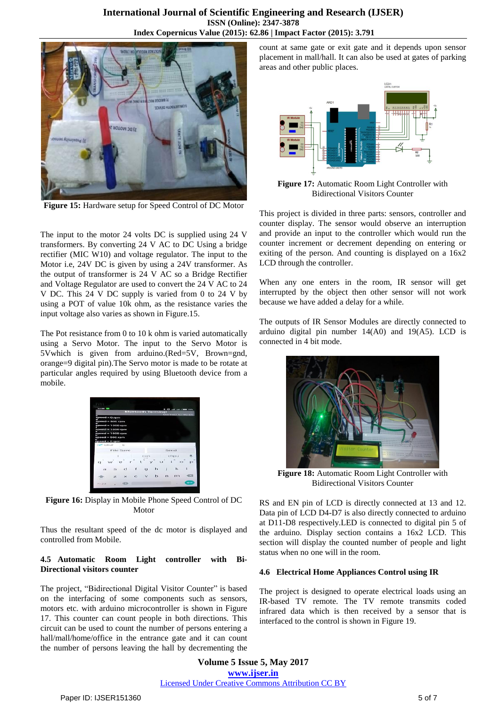

**Figure 15:** Hardware setup for Speed Control of DC Motor

The input to the motor 24 volts DC is supplied using 24 V transformers. By converting 24 V AC to DC Using a bridge rectifier (MIC W10) and voltage regulator. The input to the Motor i.e, 24V DC is given by using a 24V transformer. As the output of transformer is 24 V AC so a Bridge Rectifier and Voltage Regulator are used to convert the 24 V AC to 24 V DC. This 24 V DC supply is varied from 0 to 24 V by using a POT of value 10k ohm, as the resistance varies the input voltage also varies as shown in Figure.15.

The Pot resistance from 0 to 10 k ohm is varied automatically using a Servo Motor. The input to the Servo Motor is 5Vwhich is given from arduino.(Red=5V, Brown=gnd, orange=9 digital pin).The Servo motor is made to be rotate at particular angles required by using Bluetooth device from a mobile.



**Figure 16:** Display in Mobile Phone Speed Control of DC Motor

Thus the resultant speed of the dc motor is displayed and controlled from Mobile.

## **4.5 Automatic Room Light controller with Bi-Directional visitors counter**

The project, "Bidirectional Digital Visitor Counter" is based on the interfacing of some components such as sensors, motors etc. with arduino microcontroller is shown in Figure 17. This counter can count people in both directions. This circuit can be used to count the number of persons entering a hall/mall/home/office in the entrance gate and it can count the number of persons leaving the hall by decrementing the count at same gate or exit gate and it depends upon sensor placement in mall/hall. It can also be used at gates of parking areas and other public places.



**Figure 17:** Automatic Room Light Controller with Bidirectional Visitors Counter

This project is divided in three parts: sensors, controller and counter display. The sensor would observe an interruption and provide an input to the controller which would run the counter increment or decrement depending on entering or exiting of the person. And counting is displayed on a 16x2 LCD through the controller.

When any one enters in the room, IR sensor will get interrupted by the object then other sensor will not work because we have added a delay for a while.

The outputs of IR Sensor Modules are directly connected to arduino digital pin number  $14(A0)$  and  $19(A5)$ . LCD is connected in 4 bit mode.



**Figure 18:** Automatic Room Light Controller with Bidirectional Visitors Counter

RS and EN pin of LCD is directly connected at 13 and 12. Data pin of LCD D4-D7 is also directly connected to arduino at D11-D8 respectively.LED is connected to digital pin 5 of the arduino. Display section contains a 16x2 LCD. This section will display the counted number of people and light status when no one will in the room.

## **4.6 Electrical Home Appliances Control using IR**

The project is designed to operate electrical loads using an IR-based TV remote. The TV remote transmits coded infrared data which is then received by a sensor that is interfaced to the control is shown in Figure 19.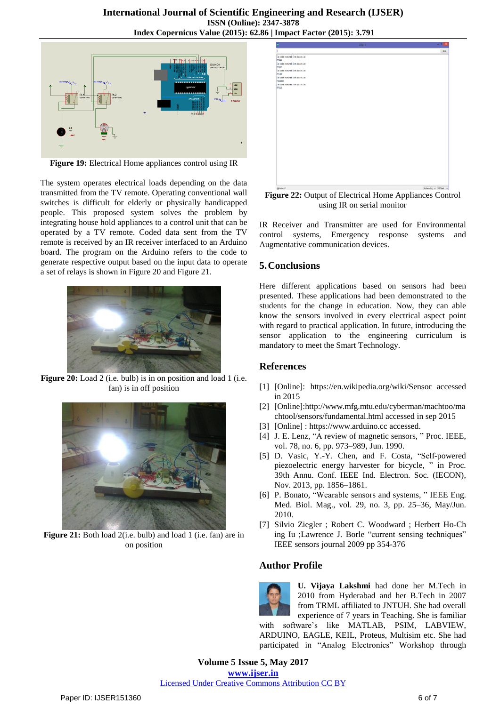

**Figure 19:** Electrical Home appliances control using IR

The system operates electrical loads depending on the data transmitted from the TV remote. Operating conventional wall switches is difficult for elderly or physically handicapped people. This proposed system solves the problem by integrating house hold appliances to a control unit that can be operated by a TV remote. Coded data sent from the TV remote is received by an IR receiver interfaced to an Arduino board. The program on the Arduino refers to the code to generate respective output based on the input data to operate a set of relays is shown in Figure 20 and Figure 21.



**Figure 20:** Load 2 (i.e. bulb) is in on position and load 1 (i.e. fan) is in off position



**Figure 21:** Both load 2(i.e. bulb) and load 1 (i.e. fan) are in on position



**Figure 22:** Output of Electrical Home Appliances Control using IR on serial monitor

IR Receiver and Transmitter are used for Environmental control systems, Emergency response systems and Augmentative communication devices.

# **5.Conclusions**

Here different applications based on sensors had been presented. These applications had been demonstrated to the students for the change in education. Now, they can able know the sensors involved in every electrical aspect point with regard to practical application. In future, introducing the sensor application to the engineering curriculum is mandatory to meet the Smart Technology.

# **References**

- [1] [Online]: <https://en.wikipedia.org/wiki/Sensor> accessed in 2015
- [2] [Online][:http://www.mfg.mtu.edu/cyberman/machtoo/ma](http://www.mfg.mtu.edu/cyberman/machtoo/machtool/sensors/fundamental.html) [chtool/sensors/fundamental.html](http://www.mfg.mtu.edu/cyberman/machtoo/machtool/sensors/fundamental.html) accessed in sep 2015
- [3] [Online] : [https://www.arduino.cc](https://www.arduino.cc/) accessed.
- [4] J. E. Lenz, "A review of magnetic sensors, " Proc. IEEE, vol. 78, no. 6, pp. 973–989, Jun. 1990.
- [5] D. Vasic, Y.-Y. Chen, and F. Costa, "Self-powered piezoelectric energy harvester for bicycle, " in Proc. 39th Annu. Conf. IEEE Ind. Electron. Soc. (IECON), Nov. 2013, pp. 1856–1861.
- [6] P. Bonato, "Wearable sensors and systems, " IEEE Eng. Med. Biol. Mag., vol. 29, no. 3, pp. 25–36, May/Jun. 2010.
- [7] Silvio [Ziegler](http://ieeexplore.ieee.org/search/searchresult.jsp?searchWithin=%22Authors%22:.QT.Silvio%20Ziegler.QT.&newsearch=true) ; Robert C. [Woodward](http://ieeexplore.ieee.org/search/searchresult.jsp?searchWithin=%22Authors%22:.QT.Robert%20C.%20Woodward.QT.&newsearch=true) ; [Herbert](http://ieeexplore.ieee.org/search/searchresult.jsp?searchWithin=%22Authors%22:.QT.Herbert%20Ho-Ching%20Iu.QT.&newsearch=true) Ho-Ch [ing](http://ieeexplore.ieee.org/search/searchresult.jsp?searchWithin=%22Authors%22:.QT.Herbert%20Ho-Ching%20Iu.QT.&newsearch=true) Iu [;Lawrence](http://ieeexplore.ieee.org/search/searchresult.jsp?searchWithin=%22Authors%22:.QT.Lawrence%20J.%20Borle.QT.&newsearch=true) J. Borle "current sensing techniques" IEEE sensors journal 2009 pp 354-376

# **Author Profile**



**U. Vijaya Lakshmi** had done her M.Tech in 2010 from Hyderabad and her B.Tech in 2007 from TRML affiliated to JNTUH. She had overall experience of 7 years in Teaching. She is familiar

with software's like MATLAB, PSIM, LABVIEW, ARDUINO, EAGLE, KEIL, Proteus, Multisim etc. She had participated in "Analog Electronics" Workshop through